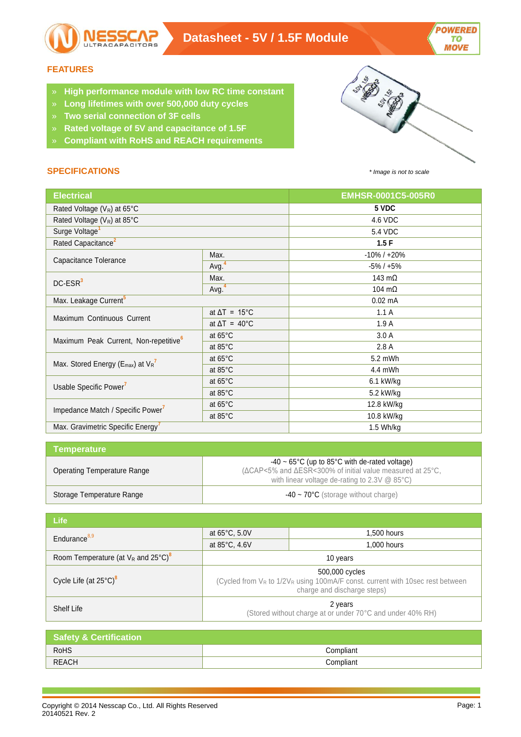

## **FEATURES**

- » **High performance module with low RC time constant**
- » **Long lifetimes with over 500,000 duty cycles**
- » **Two serial connection of 3F cells**
- » **Rated voltage of 5V and capacitance of 1.5F**
- » **Compliant with RoHS and REACH requirements**

# **SPECIFICATIONS** *\* Image is not to scale*



| <b>Electrical</b>                                 |                                                                                               | EMHSR-0001C5-005R0 |
|---------------------------------------------------|-----------------------------------------------------------------------------------------------|--------------------|
| Rated Voltage $(V_R)$ at 65°C                     |                                                                                               | 5 VDC              |
| Rated Voltage (V <sub>R</sub> ) at 85°C           |                                                                                               | 4.6 VDC            |
| Surge Voltage <sup>1</sup>                        |                                                                                               | 5.4 VDC            |
| Rated Capacitance <sup>2</sup>                    |                                                                                               | 1.5F               |
|                                                   | Max.                                                                                          | $-10\%$ / $+20\%$  |
| Capacitance Tolerance                             | Avg. <sup>4</sup>                                                                             | $-5\% / +5\%$      |
| DC-ESR <sup>3</sup>                               | Max.                                                                                          | 143 $m\Omega$      |
|                                                   | Avg. <sup>4</sup>                                                                             | 104 $m\Omega$      |
| Max. Leakage Current <sup>5</sup>                 |                                                                                               | $0.02$ mA          |
| Maximum Continuous Current                        | at $\Delta T = 15^{\circ}C$                                                                   | 1.1A               |
|                                                   | at $\Delta T = 40^{\circ}C$                                                                   | 1.9A               |
| Maximum Peak Current, Non-repetitive <sup>6</sup> | at $65^{\circ}$ C                                                                             | 3.0A               |
|                                                   | at 85°C<br>at $65^{\circ}$ C<br>at 85°C<br>at 65°C<br>at 85°C<br>at $65^{\circ}$ C<br>at 85°C | 2.8 A              |
| Max. Stored Energy ( $E_{max}$ ) at $V_R^7$       |                                                                                               | 5.2 mWh            |
|                                                   |                                                                                               | 4.4 mWh            |
| Usable Specific Power <sup>7</sup>                |                                                                                               | 6.1 kW/kg          |
|                                                   |                                                                                               | 5.2 kW/kg          |
| Impedance Match / Specific Power <sup>7</sup>     |                                                                                               | 12.8 kW/kg         |
|                                                   |                                                                                               | 10.8 kW/kg         |
| Max. Gravimetric Specific Energy <sup>7</sup>     |                                                                                               | 1.5 Wh/kg          |

| <b>Temperature</b>          |                                                                                                                                                                                                |
|-----------------------------|------------------------------------------------------------------------------------------------------------------------------------------------------------------------------------------------|
| Operating Temperature Range | $-40 \sim 65^{\circ}$ C (up to 85 $^{\circ}$ C with de-rated voltage)<br>(ΔCAP<5% and ΔESR<300% of initial value measured at 25°C,<br>with linear voltage de-rating to $2.3V \& 85^{\circ}C$ ) |
| Storage Temperature Range   | $-40 \sim 70^{\circ}$ C (storage without charge)                                                                                                                                               |

| <b>Life</b>                                       |                                                                                                                                      |             |
|---------------------------------------------------|--------------------------------------------------------------------------------------------------------------------------------------|-------------|
| Endurance $8,9$                                   | at 65°C, 5.0V                                                                                                                        | 1,500 hours |
|                                                   | at 85°C, 4.6V                                                                                                                        | 1,000 hours |
| Room Temperature (at $V_R$ and 25°C) <sup>8</sup> | 10 years                                                                                                                             |             |
| Cycle Life (at $25^{\circ}$ C) <sup>8</sup>       | 500,000 cycles<br>(Cycled from $V_R$ to $1/2V_R$ using 100mA/F const. current with 10sec rest between<br>charge and discharge steps) |             |
| Shelf Life                                        | 2 years<br>(Stored without charge at or under 70°C and under 40% RH)                                                                 |             |

| <b>Safety &amp; Certification</b> |           |  |
|-----------------------------------|-----------|--|
| RoHS                              | Compliant |  |
| <b>REACH</b>                      | Compliant |  |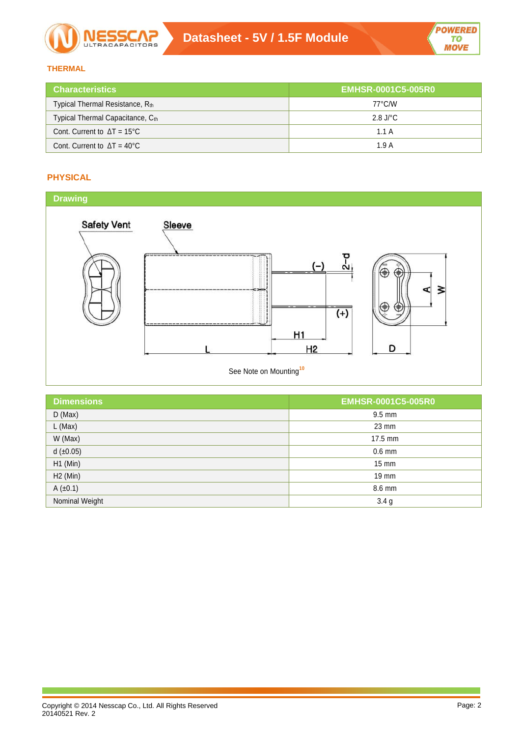

# **THERMAL**

| <b>Characteristics</b>                    | <b>EMHSR-0001C5-005R0</b> |
|-------------------------------------------|---------------------------|
| Typical Thermal Resistance, Rth           | 77°C/W                    |
| Typical Thermal Capacitance, Cth          | 2.8 J/ $^{\circ}$ C       |
| Cont. Current to $\Delta T = 15^{\circ}C$ | 1.1A                      |
| Cont. Current to $\Delta T = 40^{\circ}C$ | 1.9A                      |

# **PHYSICAL**



| <b>EMHSR-0001C5-005R0</b> |
|---------------------------|
| $9.5 \text{ mm}$          |
| 23 mm                     |
| 17.5 mm                   |
| $0.6$ mm                  |
| $15 \text{ mm}$           |
| 19 mm                     |
| 8.6 mm                    |
| 3.4 <sub>g</sub>          |
|                           |